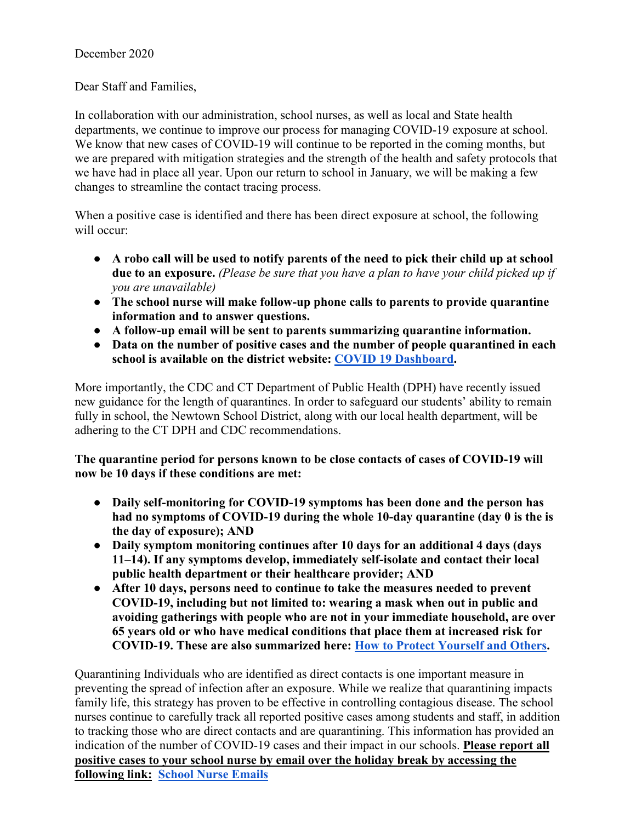## December 2020

Dear Staff and Families,

In collaboration with our administration, school nurses, as well as local and State health departments, we continue to improve our process for managing COVID-19 exposure at school. We know that new cases of COVID-19 will continue to be reported in the coming months, but we are prepared with mitigation strategies and the strength of the health and safety protocols that we have had in place all year. Upon our return to school in January, we will be making a few changes to streamline the contact tracing process.

When a positive case is identified and there has been direct exposure at school, the following will occur:

- **A robo call will be used to notify parents of the need to pick their child up at school due to an exposure.** *(Please be sure that you have a plan to have your child picked up if you are unavailable)*
- **The school nurse will make follow-up phone calls to parents to provide quarantine information and to answer questions.**
- **A follow-up email will be sent to parents summarizing quarantine information.**
- **Data on the number of positive cases and the number of people quarantined in each school is available on the district website: [COVID 19 Dashboard.](https://docs.google.com/presentation/d/1GlqqYxejVsd7vj0Sr3A-6ZUrt2VkKp2KDH9YJhdyMY8/edit#slide=id.gb10fb746b6_7_5)**

More importantly, the CDC and CT Department of Public Health (DPH) have recently issued new guidance for the length of quarantines. In order to safeguard our students' ability to remain fully in school, the Newtown School District, along with our local health department, will be adhering to the CT DPH and CDC recommendations.

**The quarantine period for persons known to be close contacts of cases of COVID-19 will now be 10 days if these conditions are met:**

- **Daily self-monitoring for COVID-19 symptoms has been done and the person has had no symptoms of COVID-19 during the whole 10-day quarantine (day 0 is the is the day of exposure); AND**
- **Daily symptom monitoring continues after 10 days for an additional 4 days (days 11–14). If any symptoms develop, immediately self-isolate and contact their local public health department or their healthcare provider; AND**
- **After 10 days, persons need to continue to take the measures needed to prevent COVID-19, including but not limited to: wearing a mask when out in public and avoiding gatherings with people who are not in your immediate household, are over 65 years old or who have medical conditions that place them at increased risk for COVID-19. These are also summarized here: [How to Protect Yourself and Others.](https://www.cdc.gov/coronavirus/2019-ncov/prevent-getting-sick/prevention.html)**

Quarantining Individuals who are identified as direct contacts is one important measure in preventing the spread of infection after an exposure. While we realize that quarantining impacts family life, this strategy has proven to be effective in controlling contagious disease. The school nurses continue to carefully track all reported positive cases among students and staff, in addition to tracking those who are direct contacts and are quarantining. This information has provided an indication of the number of COVID-19 cases and their impact in our schools. **Please report all positive cases to your school nurse by email over the holiday break by accessing the following link: [School Nurse Emails](https://docs.google.com/document/d/17Xyl3F9YSMhWVlGWJsHujk1NLh5ka_zng0pO8KZHIcI/edit)**